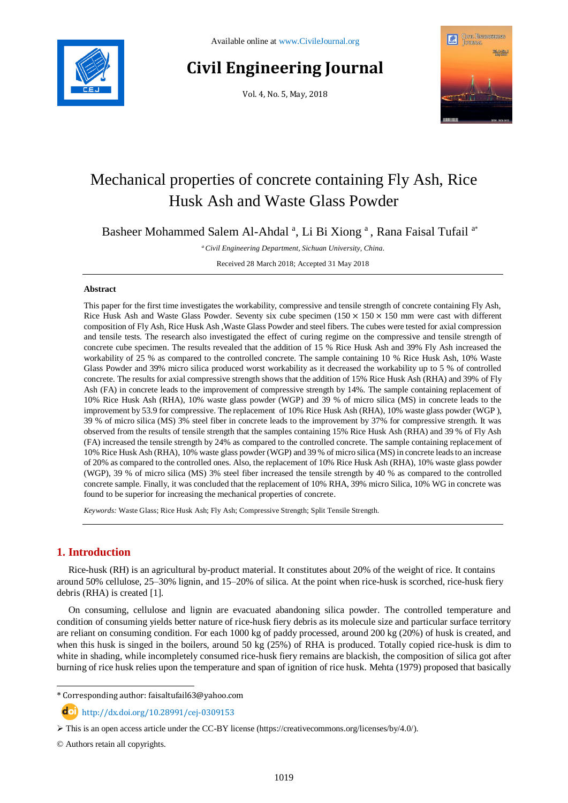

# **Civil Engineering Journal**

Vol. 4, No. 5, May, 2018



# Mechanical properties of concrete containing Fly Ash, Rice Husk Ash and Waste Glass Powder

Basheer Mohammed Salem Al-Ahdal<sup>a</sup>, Li Bi Xiong<sup>a</sup>, Rana Faisal Tufail<sup>a\*</sup>

*<sup>a</sup>Civil Engineering Department, Sichuan University, China.*

Received 28 March 2018; Accepted 31 May 2018

# **Abstract**

This paper for the first time investigates the workability, compressive and tensile strength of concrete containing Fly Ash, Rice Husk Ash and Waste Glass Powder. Seventy six cube specimen  $(150 \times 150 \times 150 \text{ mm})$  were cast with different composition of Fly Ash, Rice Husk Ash ,Waste Glass Powder and steel fibers. The cubes were tested for axial compression and tensile tests. The research also investigated the effect of curing regime on the compressive and tensile strength of concrete cube specimen. The results revealed that the addition of 15 % Rice Husk Ash and 39% Fly Ash increased the workability of 25 % as compared to the controlled concrete. The sample containing 10 % Rice Husk Ash, 10% Waste Glass Powder and 39% micro silica produced worst workability as it decreased the workability up to 5 % of controlled concrete. The results for axial compressive strength shows that the addition of 15% Rice Husk Ash (RHA) and 39% of Fly Ash (FA) in concrete leads to the improvement of compressive strength by 14%. The sample containing replacement of 10% Rice Husk Ash (RHA), 10% waste glass powder (WGP) and 39 % of micro silica (MS) in concrete leads to the improvement by 53.9 for compressive. The replacement of 10% Rice Husk Ash (RHA), 10% waste glass powder (WGP ), 39 % of micro silica (MS) 3% steel fiber in concrete leads to the improvement by 37% for compressive strength. It was observed from the results of tensile strength that the samples containing 15% Rice Husk Ash (RHA) and 39 % of Fly Ash (FA) increased the tensile strength by 24% as compared to the controlled concrete. The sample containing replacement of 10% Rice Husk Ash (RHA), 10% waste glass powder (WGP) and 39 % of micro silica (MS) in concrete leads to an increase of 20% as compared to the controlled ones. Also, the replacement of 10% Rice Husk Ash (RHA), 10% waste glass powder (WGP), 39 % of micro silica (MS) 3% steel fiber increased the tensile strength by 40 % as compared to the controlled concrete sample. Finally, it was concluded that the replacement of 10% RHA, 39% micro Silica, 10% WG in concrete was found to be superior for increasing the mechanical properties of concrete.

*Keywords:* Waste Glass; Rice Husk Ash; Fly Ash; Compressive Strength; Split Tensile Strength.

# **1. Introduction**

l

Rice-husk (RH) is an agricultural by-product material. It constitutes about 20% of the weight of rice. It contains around 50% cellulose, 25–30% lignin, and 15–20% of silica. At the point when rice-husk is scorched, rice-husk fiery debris (RHA) is created [1].

On consuming, cellulose and lignin are evacuated abandoning silica powder. The controlled temperature and condition of consuming yields better nature of rice-husk fiery debris as its molecule size and particular surface territory are reliant on consuming condition. For each 1000 kg of paddy processed, around 200 kg (20%) of husk is created, and when this husk is singed in the boilers, around 50 kg (25%) of RHA is produced. Totally copied rice-husk is dim to white in shading, while incompletely consumed rice-husk fiery remains are blackish, the composition of silica got after burning of rice husk relies upon the temperature and span of ignition of rice husk. Mehta (1979) proposed that basically

 $\text{d}$  http://dx.doi.org/10.28991/cej-0309153

<sup>\*</sup> Corresponding author: faisaltufail63@yahoo.com

 $\triangleright$  This is an open access article under the CC-BY license [\(https://creativecommons.org/licenses/by/4.0/\)](https://creativecommons.org/licenses/by/4.0/).

<sup>©</sup> Authors retain all copyrights.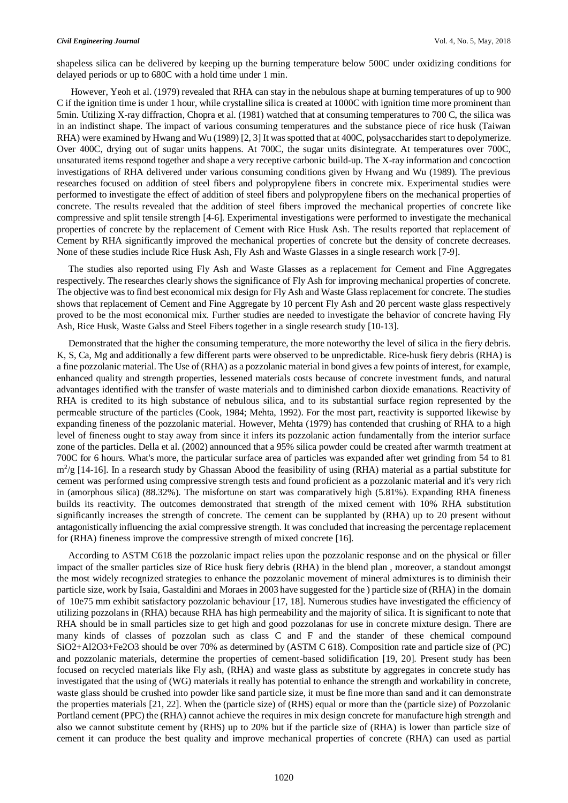shapeless silica can be delivered by keeping up the burning temperature below 500C under oxidizing conditions for delayed periods or up to 680C with a hold time under 1 min.

However, Yeoh et al. (1979) revealed that RHA can stay in the nebulous shape at burning temperatures of up to 900 C if the ignition time is under 1 hour, while crystalline silica is created at 1000C with ignition time more prominent than 5min. Utilizing X-ray diffraction, Chopra et al. (1981) watched that at consuming temperatures to 700 C, the silica was in an indistinct shape. The impact of various consuming temperatures and the substance piece of rice husk (Taiwan RHA) were examined by Hwang and Wu (1989) [2, 3] It was spotted that at 400C, polysaccharides start to depolymerize. Over 400C, drying out of sugar units happens. At 700C, the sugar units disintegrate. At temperatures over 700C, unsaturated items respond together and shape a very receptive carbonic build-up. The X-ray information and concoction investigations of RHA delivered under various consuming conditions given by Hwang and Wu (1989). The previous researches focused on addition of steel fibers and polypropylene fibers in concrete mix. Experimental studies were performed to investigate the effect of addition of steel fibers and polypropylene fibers on the mechanical properties of concrete. The results revealed that the addition of steel fibers improved the mechanical properties of concrete like compressive and split tensile strength [4-6]. Experimental investigations were performed to investigate the mechanical properties of concrete by the replacement of Cement with Rice Husk Ash. The results reported that replacement of Cement by RHA significantly improved the mechanical properties of concrete but the density of concrete decreases. None of these studies include Rice Husk Ash, Fly Ash and Waste Glasses in a single research work [7-9].

The studies also reported using Fly Ash and Waste Glasses as a replacement for Cement and Fine Aggregates respectively. The researches clearly shows the significance of Fly Ash for improving mechanical properties of concrete. The objective was to find best economical mix design for Fly Ash and Waste Glass replacement for concrete. The studies shows that replacement of Cement and Fine Aggregate by 10 percent Fly Ash and 20 percent waste glass respectively proved to be the most economical mix. Further studies are needed to investigate the behavior of concrete having Fly Ash, Rice Husk, Waste Galss and Steel Fibers together in a single research study [10-13].

Demonstrated that the higher the consuming temperature, the more noteworthy the level of silica in the fiery debris. K, S, Ca, Mg and additionally a few different parts were observed to be unpredictable. Rice-husk fiery debris (RHA) is a fine pozzolanic material. The Use of (RHA) as a pozzolanic material in bond gives a few points of interest, for example, enhanced quality and strength properties, lessened materials costs because of concrete investment funds, and natural advantages identified with the transfer of waste materials and to diminished carbon dioxide emanations. Reactivity of RHA is credited to its high substance of nebulous silica, and to its substantial surface region represented by the permeable structure of the particles (Cook, 1984; Mehta, 1992). For the most part, reactivity is supported likewise by expanding fineness of the pozzolanic material. However, Mehta (1979) has contended that crushing of RHA to a high level of fineness ought to stay away from since it infers its pozzolanic action fundamentally from the interior surface zone of the particles. Della et al. (2002) announced that a 95% silica powder could be created after warmth treatment at 700C for 6 hours. What's more, the particular surface area of particles was expanded after wet grinding from 54 to 81  $m^2/g$  [14-16]. In a research study by Ghassan Abood the feasibility of using (RHA) material as a partial substitute for cement was performed using compressive strength tests and found proficient as a pozzolanic material and it's very rich in (amorphous silica) (88.32%). The misfortune on start was comparatively high (5.81%). Expanding RHA fineness builds its reactivity. The outcomes demonstrated that strength of the mixed cement with 10% RHA substitution significantly increases the strength of concrete. The cement can be supplanted by (RHA) up to 20 present without antagonistically influencing the axial compressive strength. It was concluded that increasing the percentage replacement for (RHA) fineness improve the compressive strength of mixed concrete [16].

According to ASTM C618 the pozzolanic impact relies upon the pozzolanic response and on the physical or filler impact of the smaller particles size of Rice husk fiery debris (RHA) in the blend plan , moreover, a standout amongst the most widely recognized strategies to enhance the pozzolanic movement of mineral admixtures is to diminish their particle size, work by Isaia, Gastaldini and Moraes in 2003 have suggested for the ) particle size of (RHA) in the domain of 10e75 mm exhibit satisfactory pozzolanic behaviour [17, 18]. Numerous studies have investigated the efficiency of utilizing pozzolans in (RHA) because RHA has high permeability and the majority of silica. It is significant to note that RHA should be in small particles size to get high and good pozzolanas for use in concrete mixture design. There are many kinds of classes of pozzolan such as class C and F and the stander of these chemical compound SiO2+Al2O3+Fe2O3 should be over 70% as determined by (ASTM C 618). Composition rate and particle size of (PC) and pozzolanic materials, determine the properties of cement-based solidification [19, 20]. Present study has been focused on recycled materials like Fly ash, (RHA) and waste glass as substitute by aggregates in concrete study has investigated that the using of (WG) materials it really has potential to enhance the strength and workability in concrete, waste glass should be crushed into powder like sand particle size, it must be fine more than sand and it can demonstrate the properties materials [21, 22]. When the (particle size) of (RHS) equal or more than the (particle size) of Pozzolanic Portland cement (PPC) the (RHA) cannot achieve the requires in mix design concrete for manufacture high strength and also we cannot substitute cement by (RHS) up to 20% but if the particle size of (RHA) is lower than particle size of cement it can produce the best quality and improve mechanical properties of concrete (RHA) can used as partial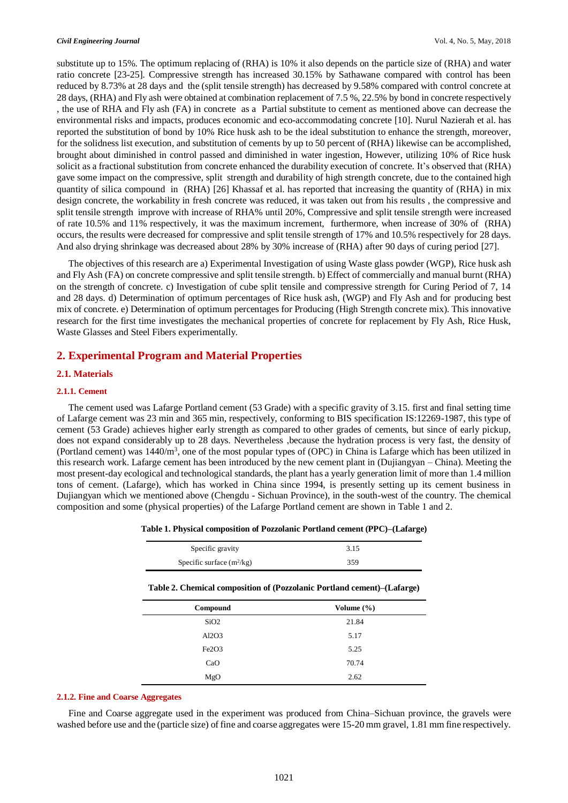substitute up to 15%. The optimum replacing of (RHA) is 10% it also depends on the particle size of (RHA) and water ratio concrete [23-25]. Compressive strength has increased 30.15% by Sathawane compared with control has been reduced by 8.73% at 28 days and the (split tensile strength) has decreased by 9.58% compared with control concrete at 28 days, (RHA) and Fly ash were obtained at combination replacement of 7.5 %, 22.5% by bond in concrete respectively , the use of RHA and Fly ash (FA) in concrete as a Partial substitute to cement as mentioned above can decrease the environmental risks and impacts, produces economic and eco-accommodating concrete [10]. Nurul Nazierah et al. has reported the substitution of bond by 10% Rice husk ash to be the ideal substitution to enhance the strength, moreover, for the solidness list execution, and substitution of cements by up to 50 percent of (RHA) likewise can be accomplished, brought about diminished in control passed and diminished in water ingestion, However, utilizing 10% of Rice husk solicit as a fractional substitution from concrete enhanced the durability execution of concrete. It's observed that (RHA) gave some impact on the compressive, split strength and durability of high strength concrete, due to the contained high quantity of silica compound in (RHA) [26] Khassaf et al. has reported that increasing the quantity of (RHA) in mix design concrete, the workability in fresh concrete was reduced, it was taken out from his results , the compressive and split tensile strength improve with increase of RHA% until 20%, Compressive and split tensile strength were increased of rate 10.5% and 11% respectively, it was the maximum increment, furthermore, when increase of 30% of (RHA) occurs, the results were decreased for compressive and split tensile strength of 17% and 10.5% respectively for 28 days. And also drying shrinkage was decreased about 28% by 30% increase of (RHA) after 90 days of curing period [27].

The objectives of this research are a) Experimental Investigation of using Waste glass powder (WGP), Rice husk ash and Fly Ash (FA) on concrete compressive and split tensile strength. b) Effect of commercially and manual burnt (RHA) on the strength of concrete. c) Investigation of cube split tensile and compressive strength for Curing Period of 7, 14 and 28 days. d) Determination of optimum percentages of Rice husk ash, (WGP) and Fly Ash and for producing best mix of concrete. e) Determination of optimum percentages for Producing (High Strength concrete mix). This innovative research for the first time investigates the mechanical properties of concrete for replacement by Fly Ash, Rice Husk, Waste Glasses and Steel Fibers experimentally.

# **2. Experimental Program and Material Properties**

## **2.1. Materials**

### **2.1.1. Cement**

The cement used was Lafarge Portland cement (53 Grade) with a specific gravity of 3.15. first and final setting time of Lafarge cement was 23 min and 365 min, respectively, conforming to BIS specification IS:12269-1987, this type of cement (53 Grade) achieves higher early strength as compared to other grades of cements, but since of early pickup, does not expand considerably up to 28 days. Nevertheless ,because the hydration process is very fast, the density of (Portland cement) was 1440/m<sup>3</sup>, one of the most popular types of (OPC) in China is Lafarge which has been utilized in this research work. Lafarge cement has been introduced by the new cement plant in (Dujiangyan – China). Meeting the most present-day ecological and technological standards, the plant has a yearly generation limit of more than 1.4 million tons of cement. (Lafarge), which has worked in China since 1994, is presently setting up its cement business in Dujiangyan which we mentioned above (Chengdu - Sichuan Province), in the south-west of the country. The chemical composition and some (physical properties) of the Lafarge Portland cement are shown in Table 1 and 2.

| Specific gravity                                                        | 3.15           |
|-------------------------------------------------------------------------|----------------|
| Specific surface $(m^2/kg)$                                             | 359            |
| Table 2. Chemical composition of (Pozzolanic Portland cement)–(Lafarge) |                |
| Compound                                                                | Volume $(\% )$ |
| SiO2                                                                    | 21.84          |
| Al2O3                                                                   | 5.17           |
| Fe <sub>2</sub> O <sub>3</sub>                                          | 5.25           |
| CaO                                                                     | 70.74          |
| MgO                                                                     | 2.62           |

**Table 1. Physical composition of Pozzolanic Portland cement (PPC)–(Lafarge)**

### **2.1.2. Fine and Coarse Aggregates**

Fine and Coarse aggregate used in the experiment was produced from China–Sichuan province, the gravels were washed before use and the (particle size) of fine and coarse aggregates were 15-20 mm gravel, 1.81 mm fine respectively.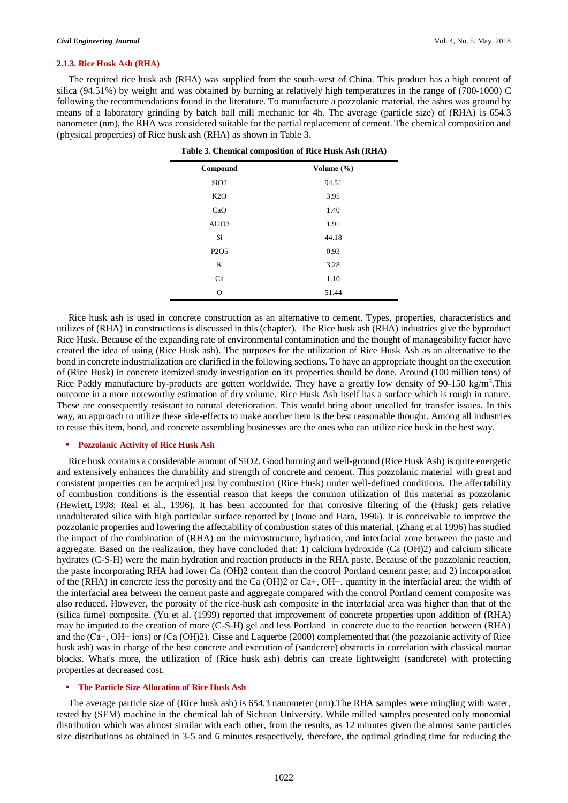#### **2.1.3. Rice Husk Ash (RHA)**

The required rice husk ash (RHA) was supplied from the south-west of China. This product has a high content of silica (94.51%) by weight and was obtained by burning at relatively high temperatures in the range of (700-1000) C following the recommendations found in the literature. To manufacture a pozzolanic material, the ashes was ground by means of a laboratory grinding by batch ball mill mechanic for 4h. The average (particle size) of (RHA) is 654.3 nanometer (nm), the RHA was considered suitable for the partial replacement of cement. The chemical composition and (physical properties) of Rice husk ash (RHA) as shown in Table 3.

| Compound                      | Volume (%) |  |
|-------------------------------|------------|--|
| SiO <sub>2</sub>              | 94.51      |  |
| K2O                           | 3.95       |  |
| CaO                           | 1.40       |  |
| Al2O3                         | 1.91       |  |
| Si                            | 44.18      |  |
| P <sub>2</sub> O <sub>5</sub> | 0.93       |  |
| K                             | 3.28       |  |
| Ca                            | 1.10       |  |
| $\Omega$                      | 51.44      |  |

| Table 3. Chemical composition of Rice Husk Ash (RHA) |  |  |  |
|------------------------------------------------------|--|--|--|
|------------------------------------------------------|--|--|--|

Rice husk ash is used in concrete construction as an alternative to cement. Types, properties, characteristics and utilizes of (RHA) in constructions is discussed in this (chapter). The Rice husk ash (RHA) industries give the byproduct Rice Husk. Because of the expanding rate of environmental contamination and the thought of manageability factor have created the idea of using (Rice Husk ash). The purposes for the utilization of Rice Husk Ash as an alternative to the bond in concrete industrialization are clarified in the following sections. To have an appropriate thought on the execution of (Rice Husk) in concrete itemized study investigation on its properties should be done. Around (100 million tons) of Rice Paddy manufacture by-products are gotten worldwide. They have a greatly low density of 90-150 kg/m<sup>3</sup>. This outcome in a more noteworthy estimation of dry volume. Rice Husk Ash itself has a surface which is rough in nature. These are consequently resistant to natural deterioration. This would bring about uncalled for transfer issues. In this way, an approach to utilize these side-effects to make another item is the best reasonable thought. Among all industries to reuse this item, bond, and concrete assembling businesses are the ones who can utilize rice husk in the best way.

#### **Pozzolanic Activity of Rice Husk Ash**

Rice husk contains a considerable amount of SiO2. Good burning and well-ground (Rice Husk Ash) is quite energetic and extensively enhances the durability and strength of concrete and cement. This pozzolanic material with great and consistent properties can be acquired just by combustion (Rice Husk) under well-defined conditions. The affectability of combustion conditions is the essential reason that keeps the common utilization of this material as pozzolanic (Hewlett, 1998; Real et al., 1996). It has been accounted for that corrosive filtering of the (Husk) gets relative unadulterated silica with high particular surface reported by (Inoue and Hara, 1996). It is conceivable to improve the pozzolanic properties and lowering the affectability of combustion states of this material. (Zhang et al 1996) has studied the impact of the combination of (RHA) on the microstructure, hydration, and interfacial zone between the paste and aggregate. Based on the realization, they have concluded that: 1) calcium hydroxide (Ca (OH)2) and calcium silicate hydrates (C-S-H) were the main hydration and reaction products in the RHA paste. Because of the pozzolanic reaction, the paste incorporating RHA had lower Ca (OH)2 content than the control Portland cement paste; and 2) incorporation of the (RHA) in concrete less the porosity and the Ca (OH)2 or Ca+, OH−, quantity in the interfacial area; the width of the interfacial area between the cement paste and aggregate compared with the control Portland cement composite was also reduced. However, the porosity of the rice-husk ash composite in the interfacial area was higher than that of the (silica fume) composite. (Yu et al. (1999) reported that improvement of concrete properties upon addition of (RHA) may be imputed to the creation of more (C-S-H) gel and less Portland in concrete due to the reaction between (RHA) and the (Ca+, OH− ions) or (Ca (OH)2). Cisse and Laquerbe (2000) complemented that (the pozzolanic activity of Rice husk ash) was in charge of the best concrete and execution of (sandcrete) obstructs in correlation with classical mortar blocks. What's more, the utilization of (Rice husk ash) debris can create lightweight (sandcrete) with protecting properties at decreased cost.

#### **The Particle Size Allocation of Rice Husk Ash**

The average particle size of (Rice husk ash) is 654.3 nanometer (nm).The RHA samples were mingling with water, tested by (SEM) machine in the chemical lab of Sichuan University. While milled samples presented only monomial distribution which was almost similar with each other, from the results, as 12 minutes given the almost same particles size distributions as obtained in 3-5 and 6 minutes respectively, therefore, the optimal grinding time for reducing the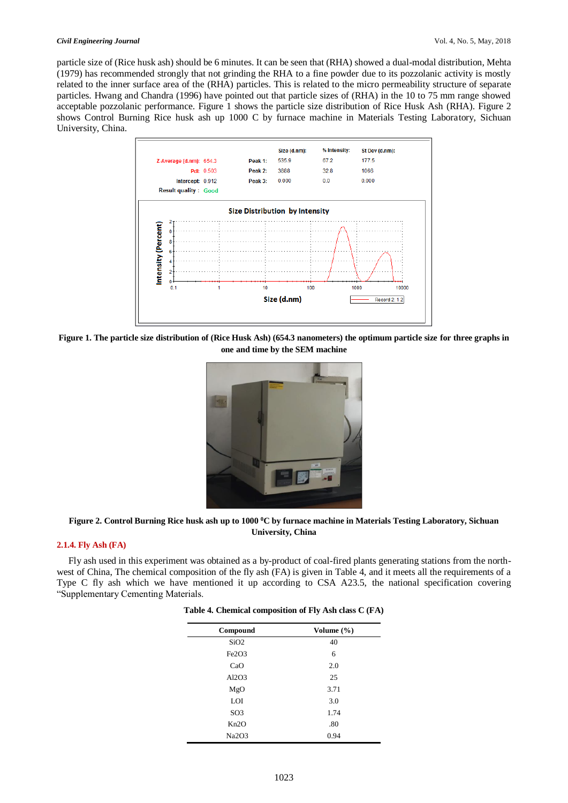particle size of (Rice husk ash) should be 6 minutes. It can be seen that (RHA) showed a dual-modal distribution, Mehta (1979) has recommended strongly that not grinding the RHA to a fine powder due to its pozzolanic activity is mostly related to the inner surface area of the (RHA) particles. This is related to the micro permeability structure of separate particles. Hwang and Chandra (1996) have pointed out that particle sizes of (RHA) in the 10 to 75 mm range showed acceptable pozzolanic performance. Figure 1 shows the particle size distribution of Rice Husk Ash (RHA). Figure 2 shows Control Burning Rice husk ash up 1000 C by furnace machine in Materials Testing Laboratory, Sichuan University, China.



**Figure 1. The particle size distribution of (Rice Husk Ash) (654.3 nanometers) the optimum particle size for three graphs in one and time by the SEM machine**



**Figure 2. Control Burning Rice husk ash up to 1000 <sup>0</sup>C by furnace machine in Materials Testing Laboratory, Sichuan University, China**

#### **2.1.4. Fly Ash (FA)**

Fly ash used in this experiment was obtained as a by-product of coal-fired plants generating stations from the northwest of China, The chemical composition of the fly ash (FA) is given in Table 4, and it meets all the requirements of a Type C fly ash which we have mentioned it up according to CSA A23.5, the national specification covering "Supplementary Cementing Materials.

| Compound                       | Volume $(\% )$ |
|--------------------------------|----------------|
| SiO <sub>2</sub>               | 40             |
| Fe <sub>2</sub> O <sub>3</sub> | 6              |
| CaO                            | 2.0            |
| Al2O3                          | 25             |
| MgO                            | 3.71           |
| LOI                            | 3.0            |
| SO <sub>3</sub>                | 1.74           |
| Kn2O                           | .80            |
| Na2O3                          | 0.94           |

|  |  | Table 4. Chemical composition of Fly Ash class C (FA) |  |  |  |  |
|--|--|-------------------------------------------------------|--|--|--|--|
|--|--|-------------------------------------------------------|--|--|--|--|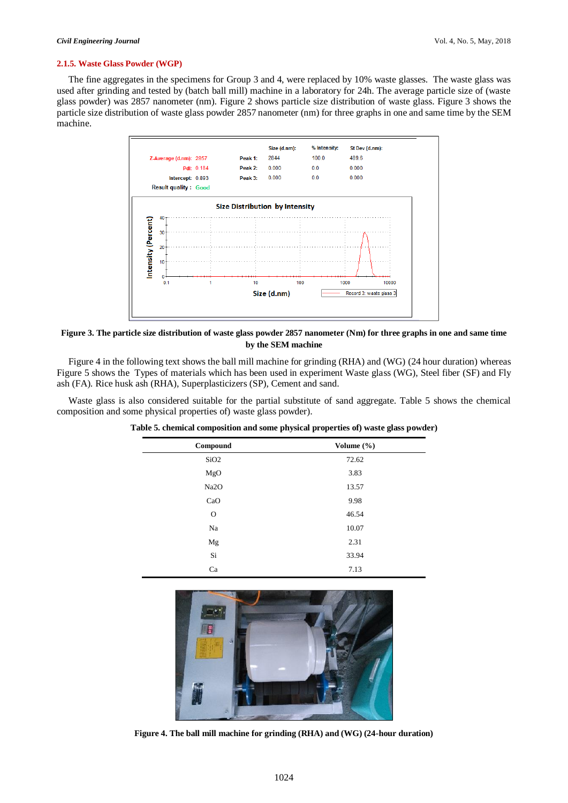#### **2.1.5. Waste Glass Powder (WGP)**

The fine aggregates in the specimens for Group 3 and 4, were replaced by 10% waste glasses. The waste glass was used after grinding and tested by (batch ball mill) machine in a laboratory for 24h. The average particle size of (waste glass powder) was 2857 nanometer (nm). Figure 2 shows particle size distribution of waste glass. Figure 3 shows the particle size distribution of waste glass powder 2857 nanometer (nm) for three graphs in one and same time by the SEM machine.



# **Figure 3. The particle size distribution of waste glass powder 2857 nanometer (Nm) for three graphs in one and same time by the SEM machine**

Figure 4 in the following text shows the ball mill machine for grinding (RHA) and (WG) (24 hour duration) whereas Figure 5 shows the Types of materials which has been used in experiment Waste glass (WG), Steel fiber (SF) and Fly ash (FA). Rice husk ash (RHA), Superplasticizers (SP), Cement and sand.

Waste glass is also considered suitable for the partial substitute of sand aggregate. Table 5 shows the chemical composition and some physical properties of) waste glass powder).

| Compound         | Volume (%) |
|------------------|------------|
| SiO <sub>2</sub> | 72.62      |
| MgO              | 3.83       |
| Na2O             | 13.57      |
| CaO              | 9.98       |
| $\mathbf O$      | 46.54      |
| Na               | 10.07      |
| Mg               | 2.31       |
| Si               | 33.94      |
| Ca               | 7.13       |

**Table 5. chemical composition and some physical properties of) waste glass powder)**



**Figure 4. The ball mill machine for grinding (RHA) and (WG) (24-hour duration)**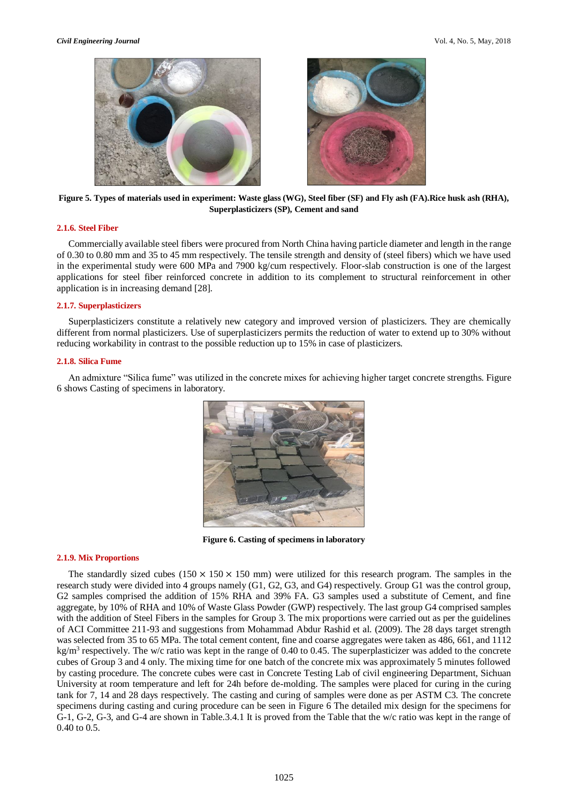



**Figure 5. Types of materials used in experiment: Waste glass (WG), Steel fiber (SF) and Fly ash (FA).Rice husk ash (RHA), Superplasticizers (SP), Cement and sand**

## **2.1.6. Steel Fiber**

Commercially available steel fibers were procured from North China having particle diameter and length in the range of 0.30 to 0.80 mm and 35 to 45 mm respectively. The tensile strength and density of (steel fibers) which we have used in the experimental study were 600 MPa and 7900 kg/cum respectively. Floor-slab construction is one of the largest applications for steel fiber reinforced concrete in addition to its complement to structural reinforcement in other application is in increasing demand [\[28\]](file:///C:/Users/rahmat/Desktop/raminnn/DR/EDiT/03/10/796-2234-4-ED.docx%23_ENREF_28).

# **2.1.7. Superplasticizers**

Superplasticizers constitute a relatively new category and improved version of plasticizers. They are chemically different from normal plasticizers. Use of superplasticizers permits the reduction of water to extend up to 30% without reducing workability in contrast to the possible reduction up to 15% in case of plasticizers.

#### **2.1.8. Silica Fume**

An admixture "Silica fume" was utilized in the concrete mixes for achieving higher target concrete strengths. Figure 6 shows Casting of specimens in laboratory.



**Figure 6. Casting of specimens in laboratory**

### **2.1.9. Mix Proportions**

The standardly sized cubes  $(150 \times 150 \times 150 \text{ mm})$  were utilized for this research program. The samples in the research study were divided into 4 groups namely (G1, G2, G3, and G4) respectively. Group G1 was the control group, G2 samples comprised the addition of 15% RHA and 39% FA. G3 samples used a substitute of Cement, and fine aggregate, by 10% of RHA and 10% of Waste Glass Powder (GWP) respectively. The last group G4 comprised samples with the addition of Steel Fibers in the samples for Group 3. The mix proportions were carried out as per the guidelines of ACI Committee 211-93 and suggestions from Mohammad Abdur Rashid et al. (2009). The 28 days target strength was selected from 35 to 65 MPa. The total cement content, fine and coarse aggregates were taken as 486, 661, and 1112  $kg/m<sup>3</sup>$  respectively. The w/c ratio was kept in the range of 0.40 to 0.45. The superplasticizer was added to the concrete cubes of Group 3 and 4 only. The mixing time for one batch of the concrete mix was approximately 5 minutes followed by casting procedure. The concrete cubes were cast in Concrete Testing Lab of civil engineering Department, Sichuan University at room temperature and left for 24h before de-molding. The samples were placed for curing in the curing tank for 7, 14 and 28 days respectively. The casting and curing of samples were done as per ASTM C3. The concrete specimens during casting and curing procedure can be seen in Figure 6 The detailed mix design for the specimens for G-1, G-2, G-3, and G-4 are shown in Table.3.4.1 It is proved from the Table that the w/c ratio was kept in the range of 0.40 to 0.5.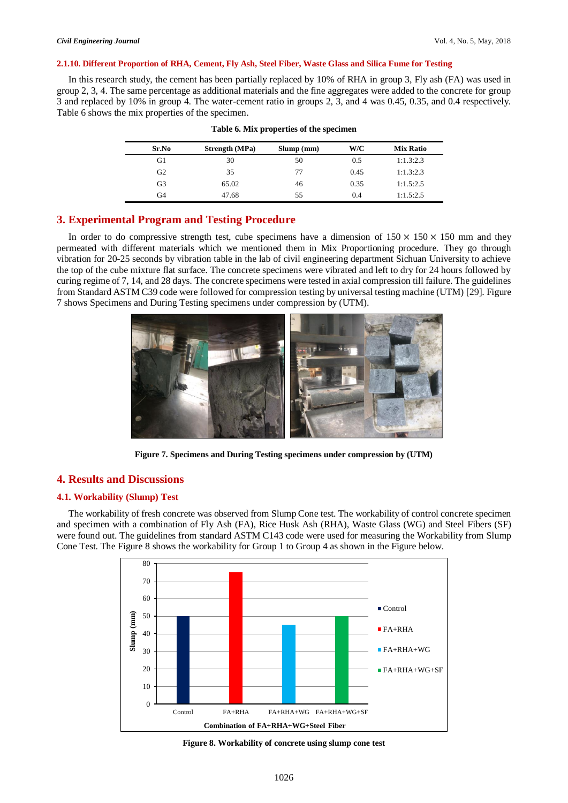#### **2.1.10. Different Proportion of RHA, Cement, Fly Ash, Steel Fiber, Waste Glass and Silica Fume for Testing**

In this research study, the cement has been partially replaced by 10% of RHA in group 3, Fly ash (FA) was used in group 2, 3, 4. The same percentage as additional materials and the fine aggregates were added to the concrete for group 3 and replaced by 10% in group 4. The water-cement ratio in groups 2, 3, and 4 was 0.45, 0.35, and 0.4 respectively. Table 6 shows the mix properties of the specimen.

| Sr.No          | <b>Strength</b> (MPa) | Slump(mm) | W/C  | <b>Mix Ratio</b> |
|----------------|-----------------------|-----------|------|------------------|
| G1             | 30                    | 50        | 0.5  | 1:1.3:2.3        |
| G <sub>2</sub> | 35                    | 77        | 0.45 | 1:1.3:2.3        |
| G3             | 65.02                 | 46        | 0.35 | 1:1.5:2.5        |
| G4             | 47.68                 | 55        | 0.4  | 1:1.5:2.5        |

#### **Table 6. Mix properties of the specimen**

# **3. Experimental Program and Testing Procedure**

In order to do compressive strength test, cube specimens have a dimension of  $150 \times 150 \times 150$  mm and they permeated with different materials which we mentioned them in Mix Proportioning procedure. They go through vibration for 20-25 seconds by vibration table in the lab of civil engineering department Sichuan University to achieve the top of the cube mixture flat surface. The concrete specimens were vibrated and left to dry for 24 hours followed by curing regime of 7, 14, and 28 days. The concrete specimens were tested in axial compression till failure. The guidelines from Standard ASTM C39 code were followed for compression testing by universal testing machine (UTM) [29]. Figure 7 shows Specimens and During Testing specimens under compression by (UTM).



**Figure 7. Specimens and During Testing specimens under compression by (UTM)**

# **4. Results and Discussions**

# **4.1. Workability (Slump) Test**

The workability of fresh concrete was observed from Slump Cone test. The workability of control concrete specimen and specimen with a combination of Fly Ash (FA), Rice Husk Ash (RHA), Waste Glass (WG) and Steel Fibers (SF) were found out. The guidelines from standard ASTM C143 code were used for measuring the Workability from Slump Cone Test. The Figure 8 shows the workability for Group 1 to Group 4 as shown in the Figure below.



**Figure 8. Workability of concrete using slump cone test**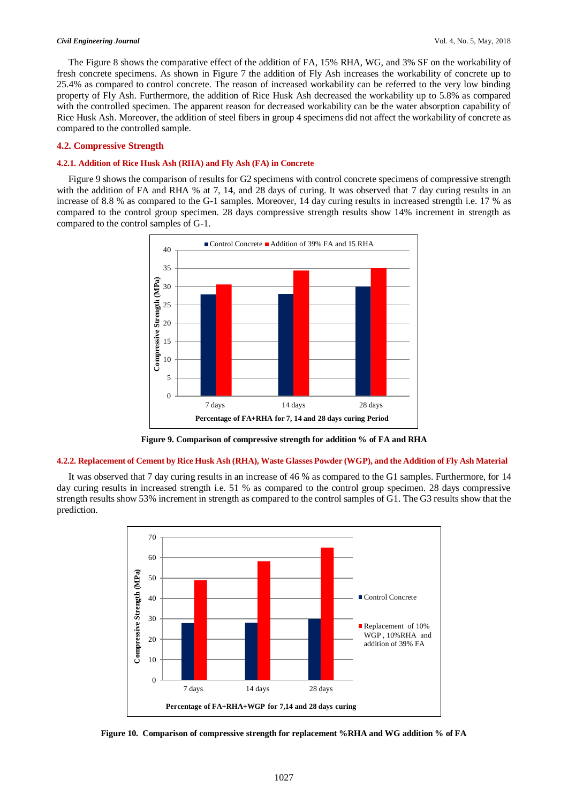The Figure 8 shows the comparative effect of the addition of FA, 15% RHA, WG, and 3% SF on the workability of fresh concrete specimens. As shown in Figure 7 the addition of Fly Ash increases the workability of concrete up to 25.4% as compared to control concrete. The reason of increased workability can be referred to the very low binding property of Fly Ash. Furthermore, the addition of Rice Husk Ash decreased the workability up to 5.8% as compared with the controlled specimen. The apparent reason for decreased workability can be the water absorption capability of Rice Husk Ash. Moreover, the addition of steel fibers in group 4 specimens did not affect the workability of concrete as compared to the controlled sample.

### **4.2. Compressive Strength**

#### **4.2.1. Addition of Rice Husk Ash (RHA) and Fly Ash (FA) in Concrete**

Figure 9 shows the comparison of results for G2 specimens with control concrete specimens of compressive strength with the addition of FA and RHA % at 7, 14, and 28 days of curing. It was observed that 7 day curing results in an increase of 8.8 % as compared to the G-1 samples. Moreover, 14 day curing results in increased strength i.e. 17 % as compared to the control group specimen. 28 days compressive strength results show 14% increment in strength as compared to the control samples of G-1.



**Figure 9. Comparison of compressive strength for addition % of FA and RHA**

#### **4.2.2. Replacement of Cement by Rice Husk Ash (RHA), Waste Glasses Powder (WGP), and the Addition of Fly Ash Material**

It was observed that 7 day curing results in an increase of 46 % as compared to the G1 samples. Furthermore, for 14 day curing results in increased strength i.e. 51 % as compared to the control group specimen. 28 days compressive strength results show 53% increment in strength as compared to the control samples of G1. The G3 results show that the prediction.



**Figure 10. Comparison of compressive strength for replacement %RHA and WG addition % of FA**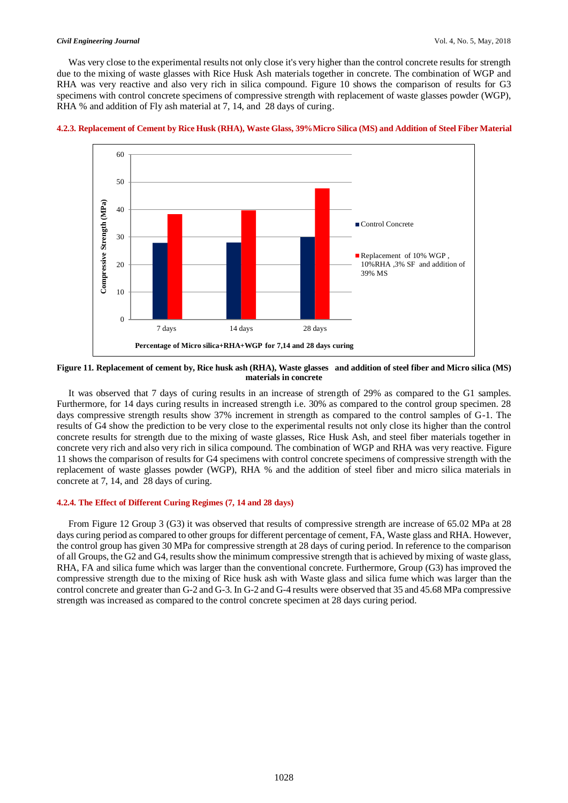Was very close to the experimental results not only close it's very higher than the control concrete results for strength due to the mixing of waste glasses with Rice Husk Ash materials together in concrete. The combination of WGP and RHA was very reactive and also very rich in silica compound. Figure 10 shows the comparison of results for G3 specimens with control concrete specimens of compressive strength with replacement of waste glasses powder (WGP), RHA % and addition of Fly ash material at 7, 14, and 28 days of curing.



#### **4.2.3. Replacement of Cement by Rice Husk (RHA), Waste Glass, 39%Micro Silica (MS) and Addition of Steel Fiber Material**

**Figure 11. Replacement of cement by, Rice husk ash (RHA), Waste glasses and addition of steel fiber and Micro silica (MS) materials in concrete**

It was observed that 7 days of curing results in an increase of strength of 29% as compared to the G1 samples. Furthermore, for 14 days curing results in increased strength i.e. 30% as compared to the control group specimen. 28 days compressive strength results show 37% increment in strength as compared to the control samples of G-1. The results of G4 show the prediction to be very close to the experimental results not only close its higher than the control concrete results for strength due to the mixing of waste glasses, Rice Husk Ash, and steel fiber materials together in concrete very rich and also very rich in silica compound. The combination of WGP and RHA was very reactive. Figure 11 shows the comparison of results for G4 specimens with control concrete specimens of compressive strength with the replacement of waste glasses powder (WGP), RHA % and the addition of steel fiber and micro silica materials in concrete at 7, 14, and 28 days of curing.

#### **4.2.4. The Effect of Different Curing Regimes (7, 14 and 28 days)**

From Figure 12 Group 3 (G3) it was observed that results of compressive strength are increase of 65.02 MPa at 28 days curing period as compared to other groups for different percentage of cement, FA, Waste glass and RHA. However, the control group has given 30 MPa for compressive strength at 28 days of curing period. In reference to the comparison of all Groups, the G2 and G4, results show the minimum compressive strength that is achieved by mixing of waste glass, RHA, FA and silica fume which was larger than the conventional concrete. Furthermore, Group (G3) has improved the compressive strength due to the mixing of Rice husk ash with Waste glass and silica fume which was larger than the control concrete and greater than G-2 and G-3. In G-2 and G-4 results were observed that 35 and 45.68 MPa compressive strength was increased as compared to the control concrete specimen at 28 days curing period.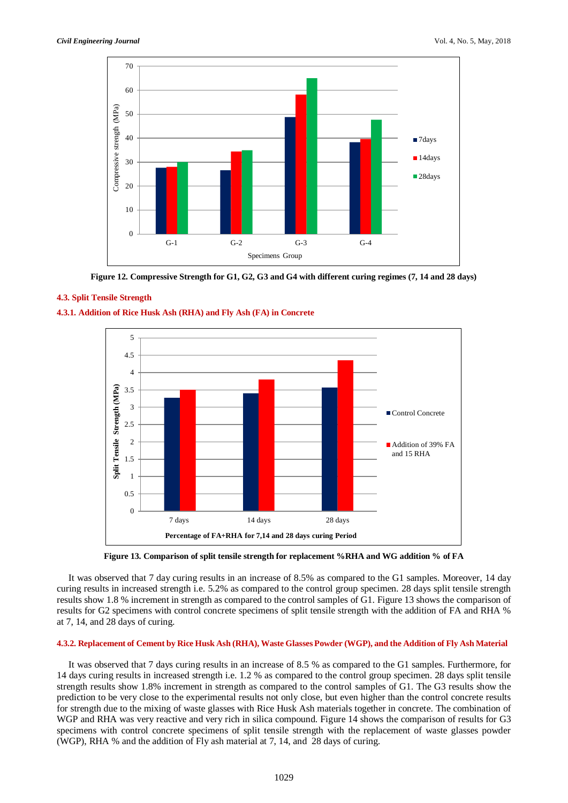

**Figure 12. Compressive Strength for G1, G2, G3 and G4 with different curing regimes (7, 14 and 28 days)**

# **4.3. Split Tensile Strength**





**Figure 13. Comparison of split tensile strength for replacement %RHA and WG addition % of FA**

It was observed that 7 day curing results in an increase of 8.5% as compared to the G1 samples. Moreover, 14 day curing results in increased strength i.e. 5.2% as compared to the control group specimen. 28 days split tensile strength results show 1.8 % increment in strength as compared to the control samples of G1. Figure 13 shows the comparison of results for G2 specimens with control concrete specimens of split tensile strength with the addition of FA and RHA % at 7, 14, and 28 days of curing.

# **4.3.2. Replacement of Cement by Rice Husk Ash (RHA), Waste Glasses Powder (WGP), and the Addition of Fly Ash Material**

It was observed that 7 days curing results in an increase of 8.5 % as compared to the G1 samples. Furthermore, for 14 days curing results in increased strength i.e. 1.2 % as compared to the control group specimen. 28 days split tensile strength results show 1.8% increment in strength as compared to the control samples of G1. The G3 results show the prediction to be very close to the experimental results not only close, but even higher than the control concrete results for strength due to the mixing of waste glasses with Rice Husk Ash materials together in concrete. The combination of WGP and RHA was very reactive and very rich in silica compound. Figure 14 shows the comparison of results for G3 specimens with control concrete specimens of split tensile strength with the replacement of waste glasses powder (WGP), RHA % and the addition of Fly ash material at 7, 14, and 28 days of curing.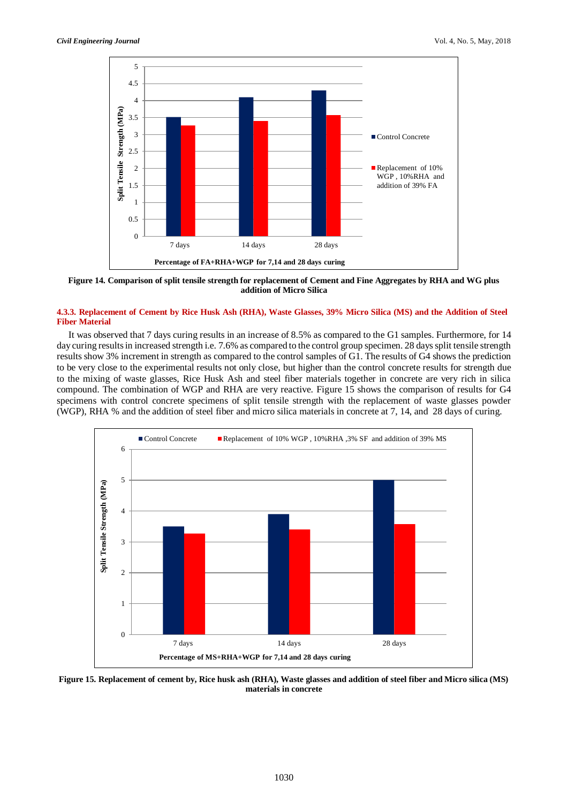

**Figure 14. Comparison of split tensile strength for replacement of Cement and Fine Aggregates by RHA and WG plus addition of Micro Silica**

# **4.3.3. Replacement of Cement by Rice Husk Ash (RHA), Waste Glasses, 39% Micro Silica (MS) and the Addition of Steel Fiber Material**

It was observed that 7 days curing results in an increase of 8.5% as compared to the G1 samples. Furthermore, for 14 day curing results in increased strength i.e. 7.6% as compared to the control group specimen. 28 days split tensile strength results show 3% increment in strength as compared to the control samples of G1. The results of G4 shows the prediction to be very close to the experimental results not only close, but higher than the control concrete results for strength due to the mixing of waste glasses, Rice Husk Ash and steel fiber materials together in concrete are very rich in silica compound. The combination of WGP and RHA are very reactive. Figure 15 shows the comparison of results for G4 specimens with control concrete specimens of split tensile strength with the replacement of waste glasses powder (WGP), RHA % and the addition of steel fiber and micro silica materials in concrete at 7, 14, and 28 days of curing.



**Figure 15. Replacement of cement by, Rice husk ash (RHA), Waste glasses and addition of steel fiber and Micro silica (MS) materials in concrete**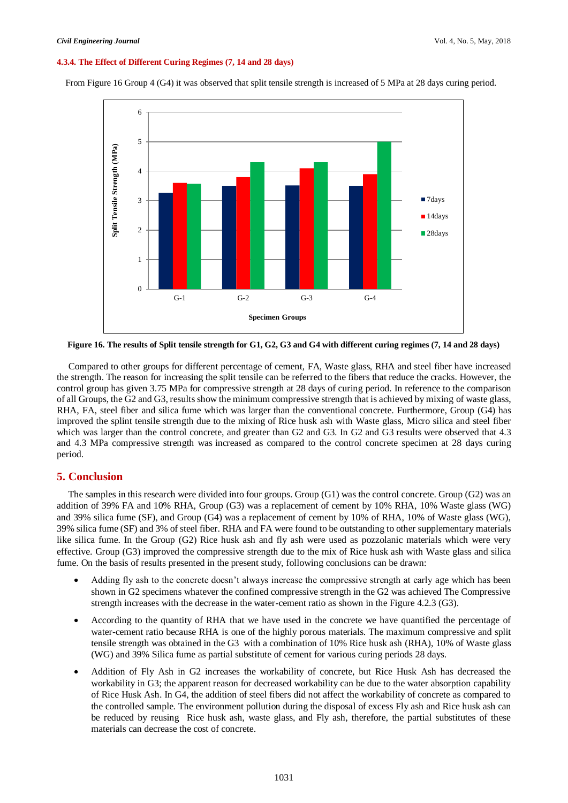#### **4.3.4. The Effect of Different Curing Regimes (7, 14 and 28 days)**

From Figure 16 Group 4 (G4) it was observed that split tensile strength is increased of 5 MPa at 28 days curing period.



**Figure 16. The results of Split tensile strength for G1, G2, G3 and G4 with different curing regimes (7, 14 and 28 days)**

Compared to other groups for different percentage of cement, FA, Waste glass, RHA and steel fiber have increased the strength. The reason for increasing the split tensile can be referred to the fibers that reduce the cracks. However, the control group has given 3.75 MPa for compressive strength at 28 days of curing period. In reference to the comparison of all Groups, the G2 and G3, results show the minimum compressive strength that is achieved by mixing of waste glass, RHA, FA, steel fiber and silica fume which was larger than the conventional concrete. Furthermore, Group (G4) has improved the splint tensile strength due to the mixing of Rice husk ash with Waste glass, Micro silica and steel fiber which was larger than the control concrete, and greater than G2 and G3. In G2 and G3 results were observed that 4.3 and 4.3 MPa compressive strength was increased as compared to the control concrete specimen at 28 days curing period.

# **5. Conclusion**

The samples in this research were divided into four groups. Group (G1) was the control concrete. Group (G2) was an addition of 39% FA and 10% RHA, Group (G3) was a replacement of cement by 10% RHA, 10% Waste glass (WG) and 39% silica fume (SF), and Group (G4) was a replacement of cement by 10% of RHA, 10% of Waste glass (WG), 39% silica fume (SF) and 3% of steel fiber. RHA and FA were found to be outstanding to other supplementary materials like silica fume. In the Group (G2) Rice husk ash and fly ash were used as pozzolanic materials which were very effective. Group (G3) improved the compressive strength due to the mix of Rice husk ash with Waste glass and silica fume. On the basis of results presented in the present study, following conclusions can be drawn:

- Adding fly ash to the concrete doesn't always increase the compressive strength at early age which has been shown in G2 specimens whatever the confined compressive strength in the G2 was achieved The Compressive strength increases with the decrease in the water-cement ratio as shown in the Figure 4.2.3 (G3).
- According to the quantity of RHA that we have used in the concrete we have quantified the percentage of water-cement ratio because RHA is one of the highly porous materials. The maximum compressive and split tensile strength was obtained in the G3 with a combination of 10% Rice husk ash (RHA), 10% of Waste glass (WG) and 39% Silica fume as partial substitute of cement for various curing periods 28 days.
- Addition of Fly Ash in G2 increases the workability of concrete, but Rice Husk Ash has decreased the workability in G3; the apparent reason for decreased workability can be due to the water absorption capability of Rice Husk Ash. In G4, the addition of steel fibers did not affect the workability of concrete as compared to the controlled sample. The environment pollution during the disposal of excess Fly ash and Rice husk ash can be reduced by reusing Rice husk ash, waste glass, and Fly ash, therefore, the partial substitutes of these materials can decrease the cost of concrete.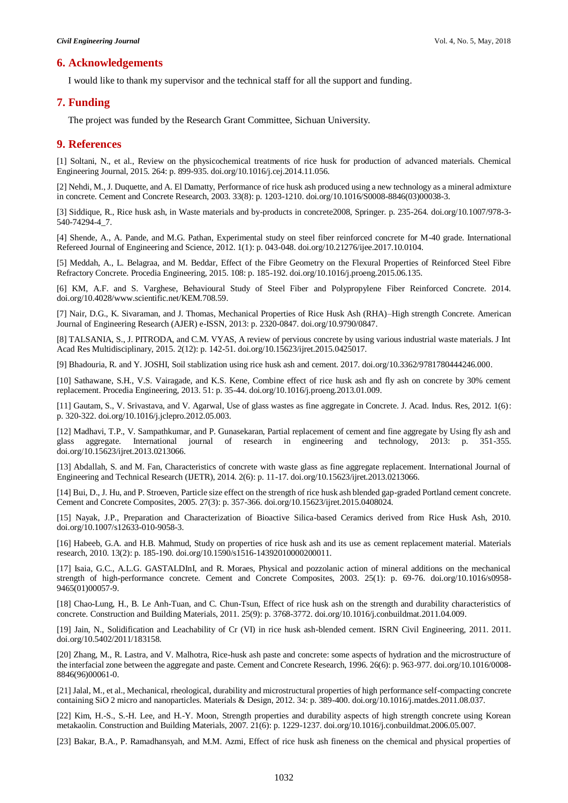# **6. Acknowledgements**

I would like to thank my supervisor and the technical staff for all the support and funding.

# **7. Funding**

The project was funded by the Research Grant Committee, Sichuan University.

### **9. References**

[1] Soltani, N., et al., Review on the physicochemical treatments of rice husk for production of advanced materials. Chemical Engineering Journal, 2015. 264: p. 899-935. doi.org/10.1016/j.cej.2014.11.056.

[2] Nehdi, M., J. Duquette, and A. El Damatty, Performance of rice husk ash produced using a new technology as a mineral admixture in concrete. Cement and Concrete Research, 2003. 33(8): p. 1203-1210. doi.org/10.1016/S0008-8846(03)00038-3.

[3] Siddique, R., Rice husk ash, in Waste materials and by-products in concrete2008, Springer. p. 235-264. doi.org/10.1007/978-3- 540-74294-4\_7.

[4] Shende, A., A. Pande, and M.G. Pathan, Experimental study on steel fiber reinforced concrete for M-40 grade. International Refereed Journal of Engineering and Science, 2012. 1(1): p. 043-048. doi.org/10.21276/ijee.2017.10.0104.

[5] Meddah, A., L. Belagraa, and M. Beddar, Effect of the Fibre Geometry on the Flexural Properties of Reinforced Steel Fibre Refractory Concrete. Procedia Engineering, 2015. 108: p. 185-192. doi.org/10.1016/j.proeng.2015.06.135.

[6] KM, A.F. and S. Varghese, Behavioural Study of Steel Fiber and Polypropylene Fiber Reinforced Concrete. 2014. doi.org/10.4028/www.scientific.net/KEM.708.59.

[7] Nair, D.G., K. Sivaraman, and J. Thomas, Mechanical Properties of Rice Husk Ash (RHA)–High strength Concrete. American Journal of Engineering Research (AJER) e-ISSN, 2013: p. 2320-0847. doi.org/10.9790/0847.

[8] TALSANIA, S., J. PITRODA, and C.M. VYAS, A review of pervious concrete by using various industrial waste materials. J Int Acad Res Multidisciplinary, 2015. 2(12): p. 142-51. doi.org/10.15623/ijret.2015.0425017.

[9] Bhadouria, R. and Y. JOSHI, Soil stablization using rice husk ash and cement. 2017. doi.org/10.3362/9781780444246.000.

[10] Sathawane, S.H., V.S. Vairagade, and K.S. Kene, Combine effect of rice husk ash and fly ash on concrete by 30% cement replacement. Procedia Engineering, 2013. 51: p. 35-44. doi.org/10.1016/j.proeng.2013.01.009.

[11] Gautam, S., V. Srivastava, and V. Agarwal, Use of glass wastes as fine aggregate in Concrete. J. Acad. Indus. Res, 2012. 1(6): p. 320-322. doi.org/10.1016/j.jclepro.2012.05.003.

[12] Madhavi, T.P., V. Sampathkumar, and P. Gunasekaran, Partial replacement of cement and fine aggregate by Using fly ash and glass aggregate. International journal of research in engineering and technology, 2013: p. 351-355. doi.org/10.15623/ijret.2013.0213066.

[13] Abdallah, S. and M. Fan, Characteristics of concrete with waste glass as fine aggregate replacement. International Journal of Engineering and Technical Research (IJETR), 2014. 2(6): p. 11-17. doi.org/10.15623/ijret.2013.0213066.

[14] Bui, D., J. Hu, and P. Stroeven, Particle size effect on the strength of rice husk ash blended gap-graded Portland cement concrete. Cement and Concrete Composites, 2005. 27(3): p. 357-366. doi.org/10.15623/ijret.2015.0408024.

[15] Nayak, J.P., Preparation and Characterization of Bioactive Silica-based Ceramics derived from Rice Husk Ash, 2010. doi.org/10.1007/s12633-010-9058-3.

[16] Habeeb, G.A. and H.B. Mahmud, Study on properties of rice husk ash and its use as cement replacement material. Materials research, 2010. 13(2): p. 185-190. doi.org/10.1590/s1516-14392010000200011.

[17] Isaia, G.C., A.L.G. GASTALDInI, and R. Moraes, Physical and pozzolanic action of mineral additions on the mechanical strength of high-performance concrete. Cement and Concrete Composites, 2003. 25(1): p. 69-76. doi.org/10.1016/s0958- 9465(01)00057-9.

[18] Chao-Lung, H., B. Le Anh-Tuan, and C. Chun-Tsun, Effect of rice husk ash on the strength and durability characteristics of concrete. Construction and Building Materials, 2011. 25(9): p. 3768-3772. doi.org/10.1016/j.conbuildmat.2011.04.009.

[19] Jain, N., Solidification and Leachability of Cr (VI) in rice husk ash-blended cement. ISRN Civil Engineering, 2011. 2011. doi.org/10.5402/2011/183158.

[20] Zhang, M., R. Lastra, and V. Malhotra, Rice-husk ash paste and concrete: some aspects of hydration and the microstructure of the interfacial zone between the aggregate and paste. Cement and Concrete Research, 1996. 26(6): p. 963-977. doi.org/10.1016/0008- 8846(96)00061-0.

[21] Jalal, M., et al., Mechanical, rheological, durability and microstructural properties of high performance self-compacting concrete containing SiO 2 micro and nanoparticles. Materials & Design, 2012. 34: p. 389-400. doi.org/10.1016/j.matdes.2011.08.037.

[22] Kim, H.-S., S.-H. Lee, and H.-Y. Moon, Strength properties and durability aspects of high strength concrete using Korean metakaolin. Construction and Building Materials, 2007. 21(6): p. 1229-1237. doi.org/10.1016/j.conbuildmat.2006.05.007.

[23] Bakar, B.A., P. Ramadhansyah, and M.M. Azmi, Effect of rice husk ash fineness on the chemical and physical properties of